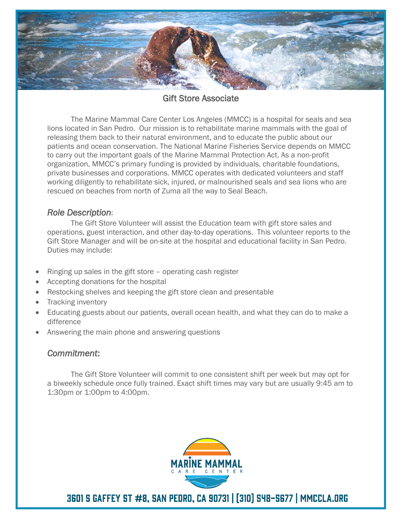

Gift Store Associate

The Marine Mammal Care Center Los Angeles (MMCC) is a hospital for seals and sea lions located in San Pedro. Our mission is to rehabilitate marine mammals with the goal of releasing them back to their natural environment, and to educate the public about our patients and ocean conservation. The National Marine Fisheries Service depends on MMCC to carry out the important goals of the Marine Mammal Protection Act. As a non-profit organization, MMCC's primary funding is provided by individuals, charitable foundations, private businesses and corporations. MMCC operates with dedicated volunteers and staff working diligently to rehabilitate sick, injured, or malnourished seals and sea lions who are rescued on beaches from north of Zuma all the way to Seal Beach.

#### *Role Description*:

The Gift Store Volunteer will assist the Education team with gift store sales and operations, guest interaction, and other day-to-day operations. This volunteer reports to the Gift Store Manager and will be on-site at the hospital and educational facility in San Pedro. Duties may include:

- Ringing up sales in the gift store operating cash register
- Accepting donations for the hospital
- Restocking shelves and keeping the gift store clean and presentable
- Tracking inventory
- Educating guests about our patients, overall ocean health, and what they can do to make a difference
- Answering the main phone and answering questions

### *Commitment*:

The Gift Store Volunteer will commit to one consistent shift per week but may opt for a biweekly schedule once fully trained. Exact shift times may vary but are usually 9:45 am to 1:30pm or 1:00pm to 4:00pm.



3601 S GAFFEY ST #8, SAN PEDRO, CA 90731 | [310] 548-5677 | MMCCLA.ORG